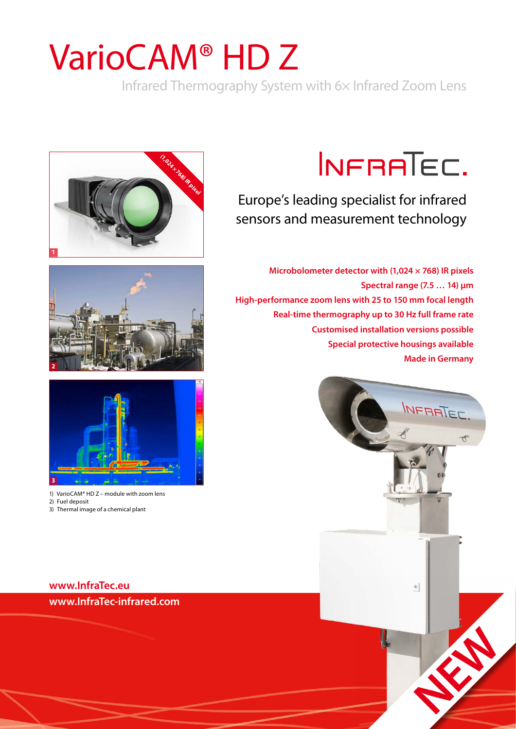# VarioCAM® HD Z

Infrared Thermography System with 6× Infrared Zoom Lens







1) VarioCAM® HD Z – module with zoom lens 2) Fuel deposit

3) Thermal image of a chemical plant

## **[www.InfraTec.eu](http://www.InfraTec.eu/domains) [www.InfraTec-infrared.com](http://www.InfraTec.eu/domains)**

# INFRATEC.

Europe's leading specialist for infrared sensors and measurement technology

**Microbolometer detector with (1,024 × 768) IR pixels Spectral range (7.5 … 14) μm High-performance zoom lens with 25 to 150 mm focal length Real-time thermography up to 30 Hz full frame rate Customised installation versions possible Special protective housings available Made in Germany**